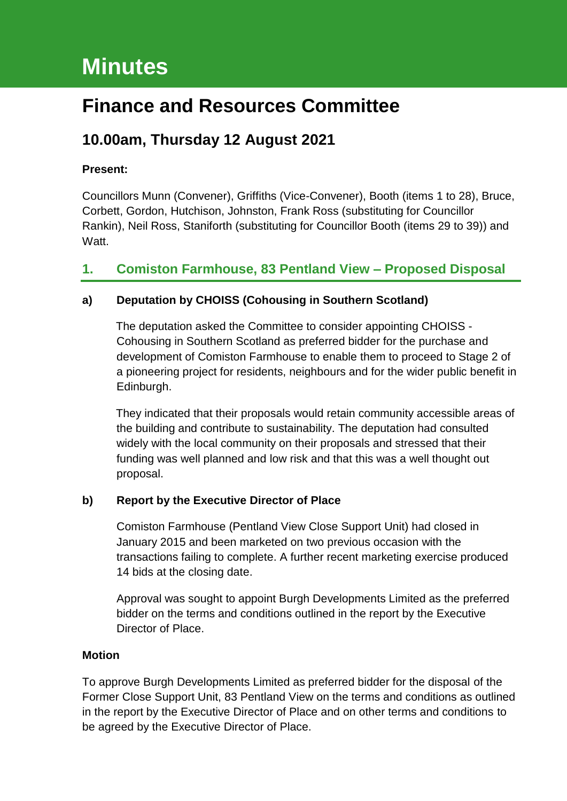# **Minutes**

# **Finance and Resources Committee**

# **10.00am, Thursday 12 August 2021**

### **Present:**

Councillors Munn (Convener), Griffiths (Vice-Convener), Booth (items 1 to 28), Bruce, Corbett, Gordon, Hutchison, Johnston, Frank Ross (substituting for Councillor Rankin), Neil Ross, Staniforth (substituting for Councillor Booth (items 29 to 39)) and Watt.

### **1. Comiston Farmhouse, 83 Pentland View – Proposed Disposal**

### **a) Deputation by CHOISS (Cohousing in Southern Scotland)**

The deputation asked the Committee to consider appointing CHOISS - Cohousing in Southern Scotland as preferred bidder for the purchase and development of Comiston Farmhouse to enable them to proceed to Stage 2 of a pioneering project for residents, neighbours and for the wider public benefit in Edinburgh.

They indicated that their proposals would retain community accessible areas of the building and contribute to sustainability. The deputation had consulted widely with the local community on their proposals and stressed that their funding was well planned and low risk and that this was a well thought out proposal.

### **b) Report by the Executive Director of Place**

Comiston Farmhouse (Pentland View Close Support Unit) had closed in January 2015 and been marketed on two previous occasion with the transactions failing to complete. A further recent marketing exercise produced 14 bids at the closing date.

Approval was sought to appoint Burgh Developments Limited as the preferred bidder on the terms and conditions outlined in the report by the Executive Director of Place.

### **Motion**

To approve Burgh Developments Limited as preferred bidder for the disposal of the Former Close Support Unit, 83 Pentland View on the terms and conditions as outlined in the report by the Executive Director of Place and on other terms and conditions to be agreed by the Executive Director of Place.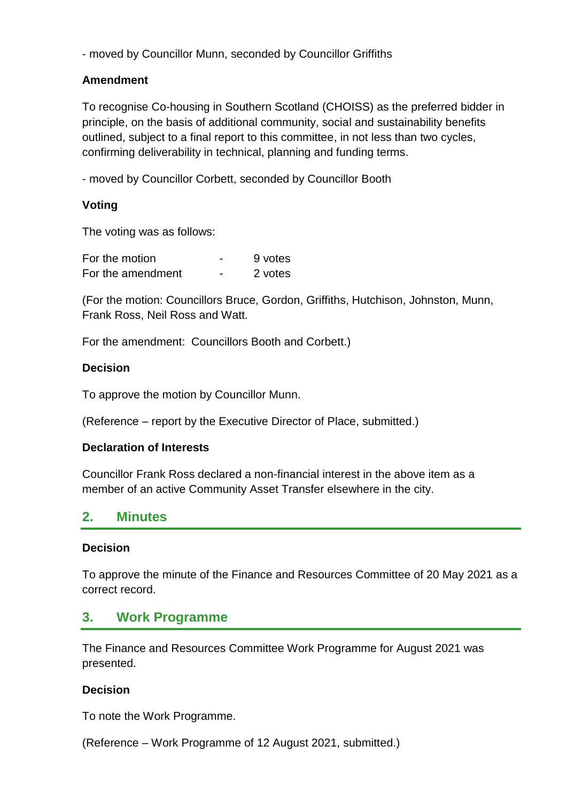- moved by Councillor Munn, seconded by Councillor Griffiths

### **Amendment**

To recognise Co-housing in Southern Scotland (CHOISS) as the preferred bidder in principle, on the basis of additional community, social and sustainability benefits outlined, subject to a final report to this committee, in not less than two cycles, confirming deliverability in technical, planning and funding terms.

- moved by Councillor Corbett, seconded by Councillor Booth

### **Voting**

The voting was as follows:

| For the motion    |                          | 9 votes |
|-------------------|--------------------------|---------|
| For the amendment | $\overline{\phantom{0}}$ | 2 votes |

(For the motion: Councillors Bruce, Gordon, Griffiths, Hutchison, Johnston, Munn, Frank Ross, Neil Ross and Watt.

For the amendment: Councillors Booth and Corbett.)

### **Decision**

To approve the motion by Councillor Munn.

(Reference – report by the Executive Director of Place, submitted.)

### **Declaration of Interests**

Councillor Frank Ross declared a non-financial interest in the above item as a member of an active Community Asset Transfer elsewhere in the city.

# **2. Minutes**

### **Decision**

To approve the minute of the Finance and Resources Committee of 20 May 2021 as a correct record.

### **3. Work Programme**

The Finance and Resources Committee Work Programme for August 2021 was presented.

### **Decision**

To note the Work Programme.

(Reference – Work Programme of 12 August 2021, submitted.)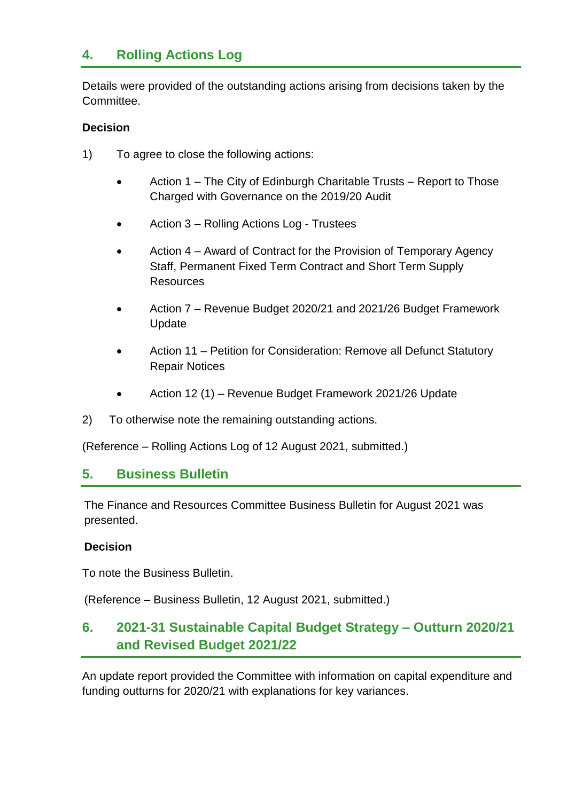# **4. Rolling Actions Log**

Details were provided of the outstanding actions arising from decisions taken by the **Committee.** 

### **Decision**

- 1) To agree to close the following actions:
	- Action 1 The City of Edinburgh Charitable Trusts Report to Those Charged with Governance on the 2019/20 Audit
	- Action 3 Rolling Actions Log Trustees
	- Action 4 Award of Contract for the Provision of Temporary Agency Staff, Permanent Fixed Term Contract and Short Term Supply **Resources**
	- Action 7 Revenue Budget 2020/21 and 2021/26 Budget Framework Update
	- Action 11 Petition for Consideration: Remove all Defunct Statutory Repair Notices
	- Action 12 (1) Revenue Budget Framework 2021/26 Update
- 2) To otherwise note the remaining outstanding actions.

(Reference – Rolling Actions Log of 12 August 2021, submitted.)

### **5. Business Bulletin**

The Finance and Resources Committee Business Bulletin for August 2021 was presented.

### **Decision**

To note the Business Bulletin.

(Reference – Business Bulletin, 12 August 2021, submitted.)

# **6. 2021-31 Sustainable Capital Budget Strategy – Outturn 2020/21 and Revised Budget 2021/22**

An update report provided the Committee with information on capital expenditure and funding outturns for 2020/21 with explanations for key variances.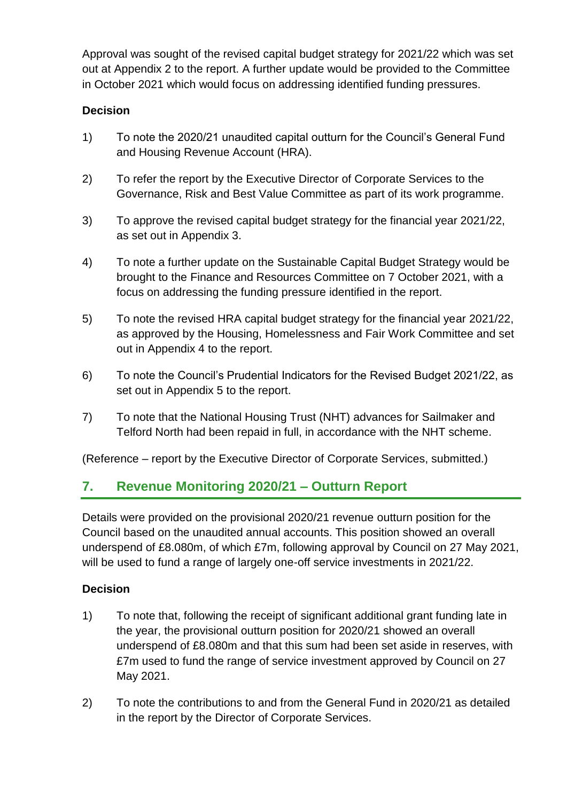Approval was sought of the revised capital budget strategy for 2021/22 which was set out at Appendix 2 to the report. A further update would be provided to the Committee in October 2021 which would focus on addressing identified funding pressures.

### **Decision**

- 1) To note the 2020/21 unaudited capital outturn for the Council's General Fund and Housing Revenue Account (HRA).
- 2) To refer the report by the Executive Director of Corporate Services to the Governance, Risk and Best Value Committee as part of its work programme.
- 3) To approve the revised capital budget strategy for the financial year 2021/22, as set out in Appendix 3.
- 4) To note a further update on the Sustainable Capital Budget Strategy would be brought to the Finance and Resources Committee on 7 October 2021, with a focus on addressing the funding pressure identified in the report.
- 5) To note the revised HRA capital budget strategy for the financial year 2021/22, as approved by the Housing, Homelessness and Fair Work Committee and set out in Appendix 4 to the report.
- 6) To note the Council's Prudential Indicators for the Revised Budget 2021/22, as set out in Appendix 5 to the report.
- 7) To note that the National Housing Trust (NHT) advances for Sailmaker and Telford North had been repaid in full, in accordance with the NHT scheme.

(Reference – report by the Executive Director of Corporate Services, submitted.)

### **7. Revenue Monitoring 2020/21 – Outturn Report**

Details were provided on the provisional 2020/21 revenue outturn position for the Council based on the unaudited annual accounts. This position showed an overall underspend of £8.080m, of which £7m, following approval by Council on 27 May 2021, will be used to fund a range of largely one-off service investments in 2021/22.

### **Decision**

- 1) To note that, following the receipt of significant additional grant funding late in the year, the provisional outturn position for 2020/21 showed an overall underspend of £8.080m and that this sum had been set aside in reserves, with £7m used to fund the range of service investment approved by Council on 27 May 2021.
- 2) To note the contributions to and from the General Fund in 2020/21 as detailed in the report by the Director of Corporate Services.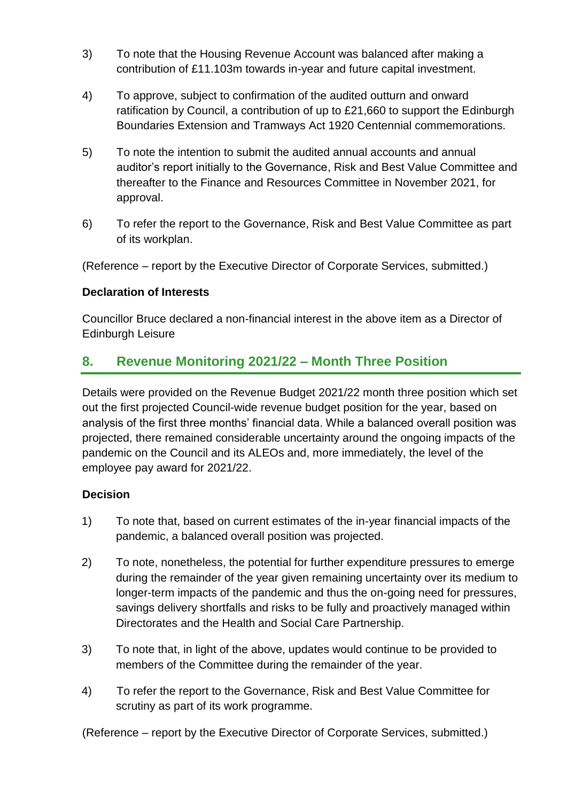- 3) To note that the Housing Revenue Account was balanced after making a contribution of £11.103m towards in-year and future capital investment.
- 4) To approve, subject to confirmation of the audited outturn and onward ratification by Council, a contribution of up to £21,660 to support the Edinburgh Boundaries Extension and Tramways Act 1920 Centennial commemorations.
- 5) To note the intention to submit the audited annual accounts and annual auditor's report initially to the Governance, Risk and Best Value Committee and thereafter to the Finance and Resources Committee in November 2021, for approval.
- 6) To refer the report to the Governance, Risk and Best Value Committee as part of its workplan.

(Reference – report by the Executive Director of Corporate Services, submitted.)

### **Declaration of Interests**

Councillor Bruce declared a non-financial interest in the above item as a Director of Edinburgh Leisure

### **8. Revenue Monitoring 2021/22 – Month Three Position**

Details were provided on the Revenue Budget 2021/22 month three position which set out the first projected Council-wide revenue budget position for the year, based on analysis of the first three months' financial data. While a balanced overall position was projected, there remained considerable uncertainty around the ongoing impacts of the pandemic on the Council and its ALEOs and, more immediately, the level of the employee pay award for 2021/22.

### **Decision**

- 1) To note that, based on current estimates of the in-year financial impacts of the pandemic, a balanced overall position was projected.
- 2) To note, nonetheless, the potential for further expenditure pressures to emerge during the remainder of the year given remaining uncertainty over its medium to longer-term impacts of the pandemic and thus the on-going need for pressures, savings delivery shortfalls and risks to be fully and proactively managed within Directorates and the Health and Social Care Partnership.
- 3) To note that, in light of the above, updates would continue to be provided to members of the Committee during the remainder of the year.
- 4) To refer the report to the Governance, Risk and Best Value Committee for scrutiny as part of its work programme.

(Reference – report by the Executive Director of Corporate Services, submitted.)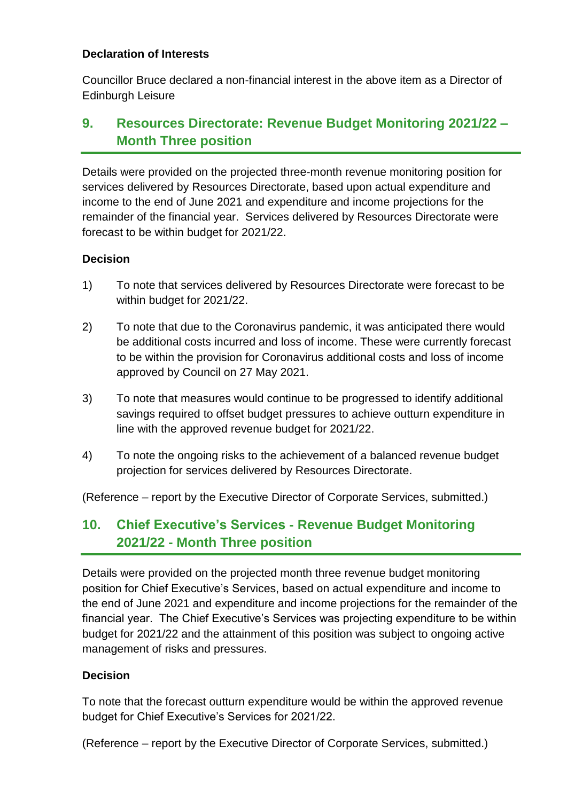#### **Declaration of Interests**

Councillor Bruce declared a non-financial interest in the above item as a Director of Edinburgh Leisure

# **9. Resources Directorate: Revenue Budget Monitoring 2021/22 – Month Three position**

Details were provided on the projected three-month revenue monitoring position for services delivered by Resources Directorate, based upon actual expenditure and income to the end of June 2021 and expenditure and income projections for the remainder of the financial year. Services delivered by Resources Directorate were forecast to be within budget for 2021/22.

### **Decision**

- 1) To note that services delivered by Resources Directorate were forecast to be within budget for 2021/22.
- 2) To note that due to the Coronavirus pandemic, it was anticipated there would be additional costs incurred and loss of income. These were currently forecast to be within the provision for Coronavirus additional costs and loss of income approved by Council on 27 May 2021.
- 3) To note that measures would continue to be progressed to identify additional savings required to offset budget pressures to achieve outturn expenditure in line with the approved revenue budget for 2021/22.
- 4) To note the ongoing risks to the achievement of a balanced revenue budget projection for services delivered by Resources Directorate.

(Reference – report by the Executive Director of Corporate Services, submitted.)

# **10. Chief Executive's Services - Revenue Budget Monitoring 2021/22 - Month Three position**

Details were provided on the projected month three revenue budget monitoring position for Chief Executive's Services, based on actual expenditure and income to the end of June 2021 and expenditure and income projections for the remainder of the financial year. The Chief Executive's Services was projecting expenditure to be within budget for 2021/22 and the attainment of this position was subject to ongoing active management of risks and pressures.

### **Decision**

To note that the forecast outturn expenditure would be within the approved revenue budget for Chief Executive's Services for 2021/22.

(Reference – report by the Executive Director of Corporate Services, submitted.)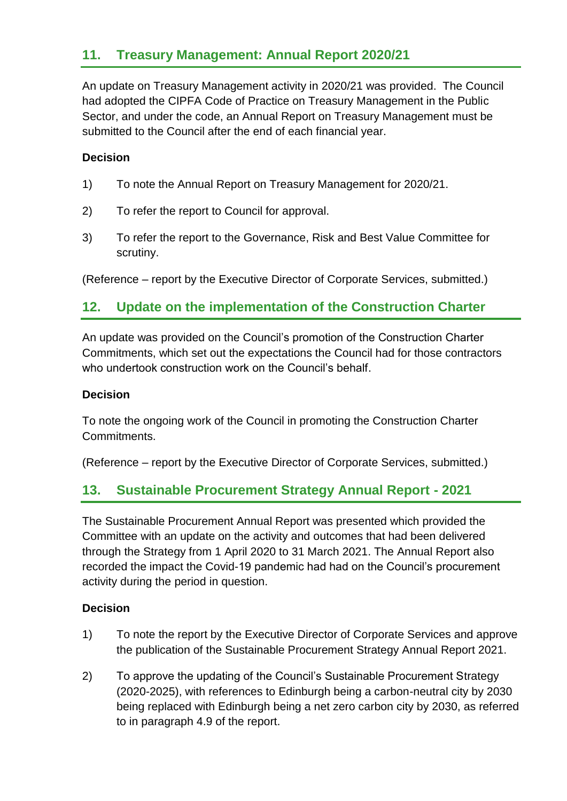### **11. Treasury Management: Annual Report 2020/21**

An update on Treasury Management activity in 2020/21 was provided. The Council had adopted the CIPFA Code of Practice on Treasury Management in the Public Sector, and under the code, an Annual Report on Treasury Management must be submitted to the Council after the end of each financial year.

#### **Decision**

- 1) To note the Annual Report on Treasury Management for 2020/21.
- 2) To refer the report to Council for approval.
- 3) To refer the report to the Governance, Risk and Best Value Committee for scrutiny.

(Reference – report by the Executive Director of Corporate Services, submitted.)

### **12. Update on the implementation of the Construction Charter**

An update was provided on the Council's promotion of the Construction Charter Commitments, which set out the expectations the Council had for those contractors who undertook construction work on the Council's behalf.

#### **Decision**

To note the ongoing work of the Council in promoting the Construction Charter Commitments.

(Reference – report by the Executive Director of Corporate Services, submitted.)

### **13. Sustainable Procurement Strategy Annual Report - 2021**

The Sustainable Procurement Annual Report was presented which provided the Committee with an update on the activity and outcomes that had been delivered through the Strategy from 1 April 2020 to 31 March 2021. The Annual Report also recorded the impact the Covid-19 pandemic had had on the Council's procurement activity during the period in question.

#### **Decision**

- 1) To note the report by the Executive Director of Corporate Services and approve the publication of the Sustainable Procurement Strategy Annual Report 2021.
- 2) To approve the updating of the Council's Sustainable Procurement Strategy (2020-2025), with references to Edinburgh being a carbon-neutral city by 2030 being replaced with Edinburgh being a net zero carbon city by 2030, as referred to in paragraph 4.9 of the report.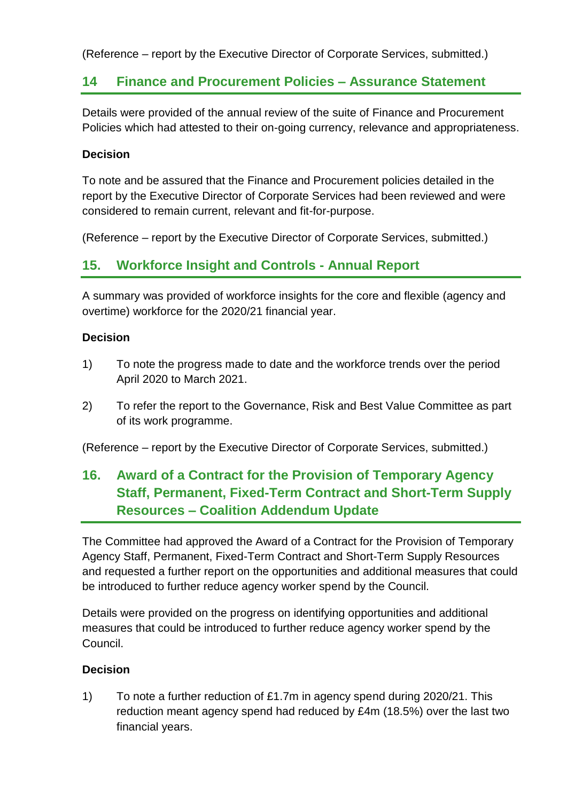(Reference – report by the Executive Director of Corporate Services, submitted.)

### **14 Finance and Procurement Policies – Assurance Statement**

Details were provided of the annual review of the suite of Finance and Procurement Policies which had attested to their on-going currency, relevance and appropriateness.

### **Decision**

To note and be assured that the Finance and Procurement policies detailed in the report by the Executive Director of Corporate Services had been reviewed and were considered to remain current, relevant and fit-for-purpose.

(Reference – report by the Executive Director of Corporate Services, submitted.)

### **15. Workforce Insight and Controls - Annual Report**

A summary was provided of workforce insights for the core and flexible (agency and overtime) workforce for the 2020/21 financial year.

#### **Decision**

- 1) To note the progress made to date and the workforce trends over the period April 2020 to March 2021.
- 2) To refer the report to the Governance, Risk and Best Value Committee as part of its work programme.

(Reference – report by the Executive Director of Corporate Services, submitted.)

# **16. Award of a Contract for the Provision of Temporary Agency Staff, Permanent, Fixed-Term Contract and Short-Term Supply Resources – Coalition Addendum Update**

The Committee had approved the Award of a Contract for the Provision of Temporary Agency Staff, Permanent, Fixed-Term Contract and Short-Term Supply Resources and requested a further report on the opportunities and additional measures that could be introduced to further reduce agency worker spend by the Council.

Details were provided on the progress on identifying opportunities and additional measures that could be introduced to further reduce agency worker spend by the Council.

### **Decision**

1) To note a further reduction of £1.7m in agency spend during 2020/21. This reduction meant agency spend had reduced by £4m (18.5%) over the last two financial years.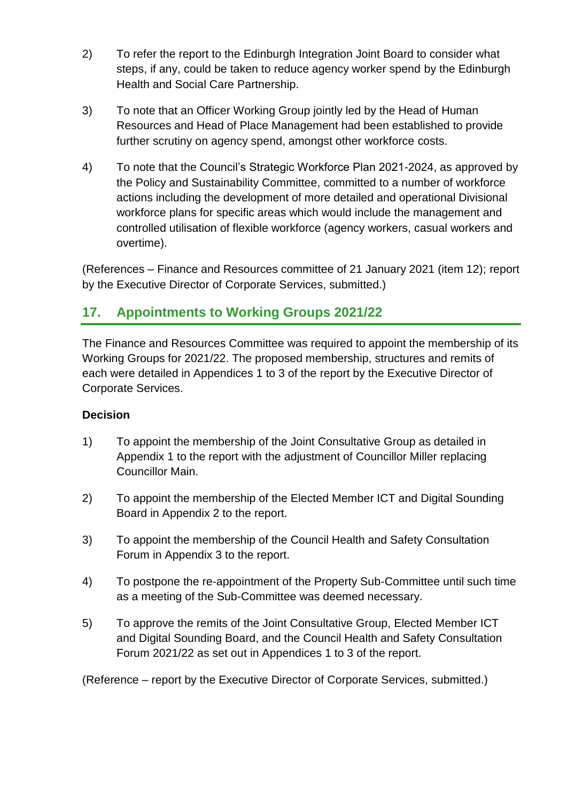- 2) To refer the report to the Edinburgh Integration Joint Board to consider what steps, if any, could be taken to reduce agency worker spend by the Edinburgh Health and Social Care Partnership.
- 3) To note that an Officer Working Group jointly led by the Head of Human Resources and Head of Place Management had been established to provide further scrutiny on agency spend, amongst other workforce costs.
- 4) To note that the Council's Strategic Workforce Plan 2021-2024, as approved by the Policy and Sustainability Committee, committed to a number of workforce actions including the development of more detailed and operational Divisional workforce plans for specific areas which would include the management and controlled utilisation of flexible workforce (agency workers, casual workers and overtime).

(References – Finance and Resources committee of 21 January 2021 (item 12); report by the Executive Director of Corporate Services, submitted.)

# **17. Appointments to Working Groups 2021/22**

The Finance and Resources Committee was required to appoint the membership of its Working Groups for 2021/22. The proposed membership, structures and remits of each were detailed in Appendices 1 to 3 of the report by the Executive Director of Corporate Services.

### **Decision**

- 1) To appoint the membership of the Joint Consultative Group as detailed in Appendix 1 to the report with the adjustment of Councillor Miller replacing Councillor Main.
- 2) To appoint the membership of the Elected Member ICT and Digital Sounding Board in Appendix 2 to the report.
- 3) To appoint the membership of the Council Health and Safety Consultation Forum in Appendix 3 to the report.
- 4) To postpone the re-appointment of the Property Sub-Committee until such time as a meeting of the Sub-Committee was deemed necessary.
- 5) To approve the remits of the Joint Consultative Group, Elected Member ICT and Digital Sounding Board, and the Council Health and Safety Consultation Forum 2021/22 as set out in Appendices 1 to 3 of the report.

(Reference – report by the Executive Director of Corporate Services, submitted.)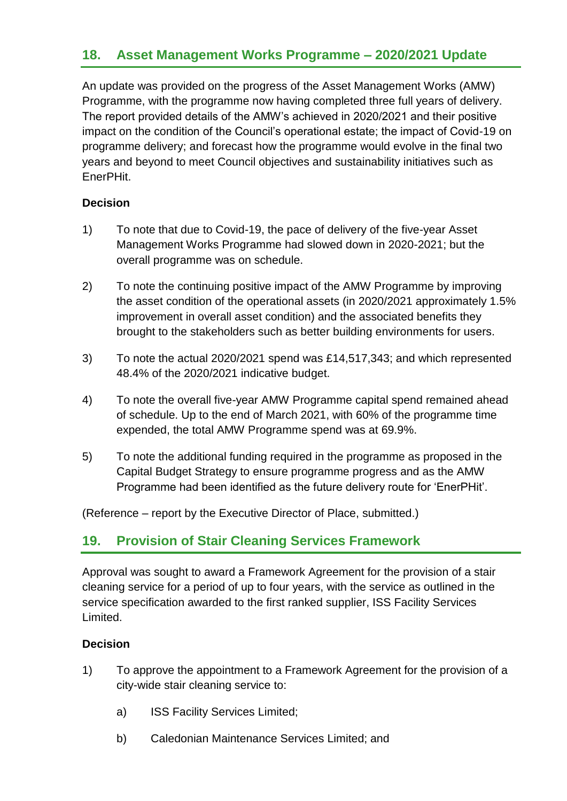### **18. Asset Management Works Programme – 2020/2021 Update**

An update was provided on the progress of the Asset Management Works (AMW) Programme, with the programme now having completed three full years of delivery. The report provided details of the AMW's achieved in 2020/2021 and their positive impact on the condition of the Council's operational estate; the impact of Covid-19 on programme delivery; and forecast how the programme would evolve in the final two years and beyond to meet Council objectives and sustainability initiatives such as EnerPHit.

#### **Decision**

- 1) To note that due to Covid-19, the pace of delivery of the five-year Asset Management Works Programme had slowed down in 2020-2021; but the overall programme was on schedule.
- 2) To note the continuing positive impact of the AMW Programme by improving the asset condition of the operational assets (in 2020/2021 approximately 1.5% improvement in overall asset condition) and the associated benefits they brought to the stakeholders such as better building environments for users.
- 3) To note the actual 2020/2021 spend was £14,517,343; and which represented 48.4% of the 2020/2021 indicative budget.
- 4) To note the overall five-year AMW Programme capital spend remained ahead of schedule. Up to the end of March 2021, with 60% of the programme time expended, the total AMW Programme spend was at 69.9%.
- 5) To note the additional funding required in the programme as proposed in the Capital Budget Strategy to ensure programme progress and as the AMW Programme had been identified as the future delivery route for 'EnerPHit'.

(Reference – report by the Executive Director of Place, submitted.)

### **19. Provision of Stair Cleaning Services Framework**

Approval was sought to award a Framework Agreement for the provision of a stair cleaning service for a period of up to four years, with the service as outlined in the service specification awarded to the first ranked supplier, ISS Facility Services Limited.

### **Decision**

- 1) To approve the appointment to a Framework Agreement for the provision of a city-wide stair cleaning service to:
	- a) ISS Facility Services Limited;
	- b) Caledonian Maintenance Services Limited; and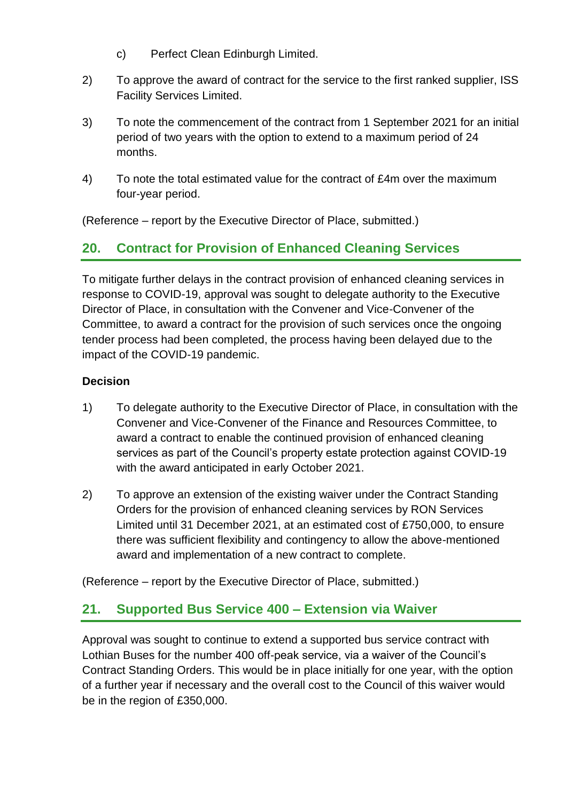- c) Perfect Clean Edinburgh Limited.
- 2) To approve the award of contract for the service to the first ranked supplier, ISS Facility Services Limited.
- 3) To note the commencement of the contract from 1 September 2021 for an initial period of two years with the option to extend to a maximum period of 24 months.
- 4) To note the total estimated value for the contract of £4m over the maximum four-year period.

(Reference – report by the Executive Director of Place, submitted.)

# **20. Contract for Provision of Enhanced Cleaning Services**

To mitigate further delays in the contract provision of enhanced cleaning services in response to COVID-19, approval was sought to delegate authority to the Executive Director of Place, in consultation with the Convener and Vice-Convener of the Committee, to award a contract for the provision of such services once the ongoing tender process had been completed, the process having been delayed due to the impact of the COVID-19 pandemic.

### **Decision**

- 1) To delegate authority to the Executive Director of Place, in consultation with the Convener and Vice-Convener of the Finance and Resources Committee, to award a contract to enable the continued provision of enhanced cleaning services as part of the Council's property estate protection against COVID-19 with the award anticipated in early October 2021.
- 2) To approve an extension of the existing waiver under the Contract Standing Orders for the provision of enhanced cleaning services by RON Services Limited until 31 December 2021, at an estimated cost of £750,000, to ensure there was sufficient flexibility and contingency to allow the above-mentioned award and implementation of a new contract to complete.

(Reference – report by the Executive Director of Place, submitted.)

### **21. Supported Bus Service 400 – Extension via Waiver**

Approval was sought to continue to extend a supported bus service contract with Lothian Buses for the number 400 off-peak service, via a waiver of the Council's Contract Standing Orders. This would be in place initially for one year, with the option of a further year if necessary and the overall cost to the Council of this waiver would be in the region of £350,000.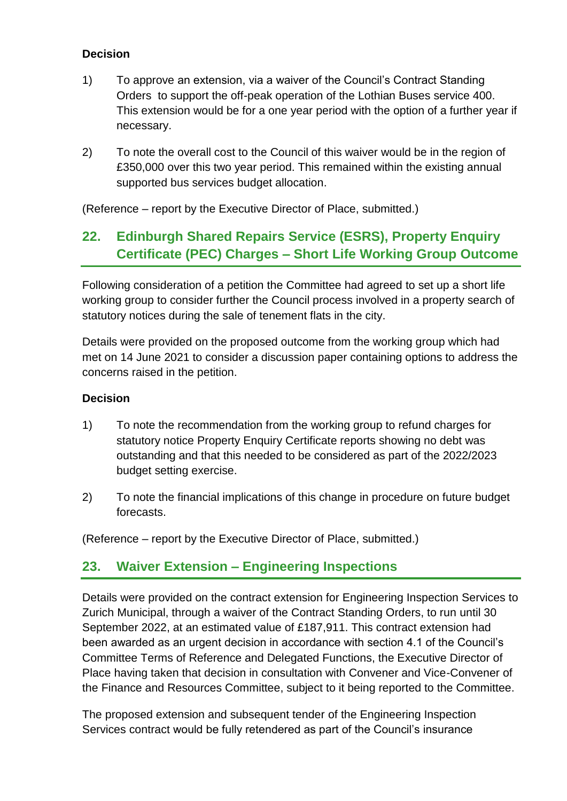- 1) To approve an extension, via a waiver of the Council's Contract Standing Orders to support the off-peak operation of the Lothian Buses service 400. This extension would be for a one year period with the option of a further year if necessary.
- 2) To note the overall cost to the Council of this waiver would be in the region of £350,000 over this two year period. This remained within the existing annual supported bus services budget allocation.

(Reference – report by the Executive Director of Place, submitted.)

# **22. Edinburgh Shared Repairs Service (ESRS), Property Enquiry Certificate (PEC) Charges – Short Life Working Group Outcome**

Following consideration of a petition the Committee had agreed to set up a short life working group to consider further the Council process involved in a property search of statutory notices during the sale of tenement flats in the city.

Details were provided on the proposed outcome from the working group which had met on 14 June 2021 to consider a discussion paper containing options to address the concerns raised in the petition.

### **Decision**

- 1) To note the recommendation from the working group to refund charges for statutory notice Property Enquiry Certificate reports showing no debt was outstanding and that this needed to be considered as part of the 2022/2023 budget setting exercise.
- 2) To note the financial implications of this change in procedure on future budget forecasts.

(Reference – report by the Executive Director of Place, submitted.)

### **23. Waiver Extension – Engineering Inspections**

Details were provided on the contract extension for Engineering Inspection Services to Zurich Municipal, through a waiver of the Contract Standing Orders, to run until 30 September 2022, at an estimated value of £187,911. This contract extension had been awarded as an urgent decision in accordance with section 4.1 of the Council's Committee Terms of Reference and Delegated Functions, the Executive Director of Place having taken that decision in consultation with Convener and Vice-Convener of the Finance and Resources Committee, subject to it being reported to the Committee.

The proposed extension and subsequent tender of the Engineering Inspection Services contract would be fully retendered as part of the Council's insurance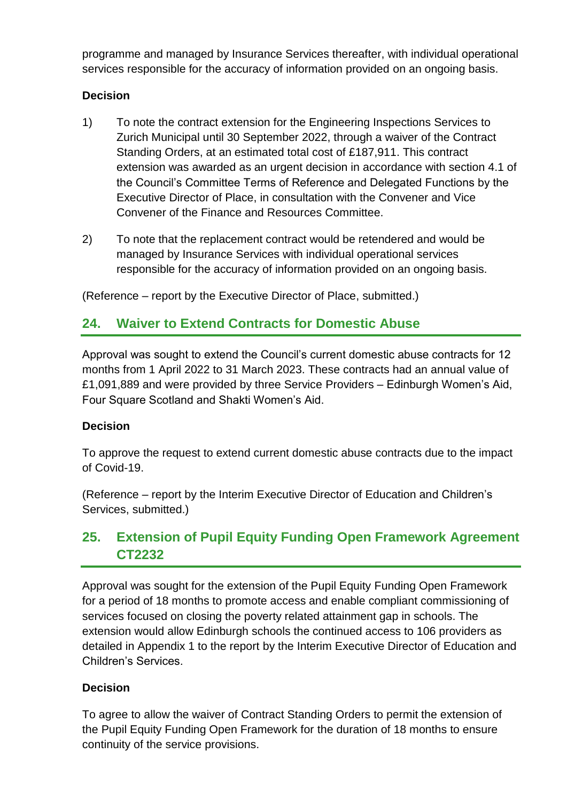programme and managed by Insurance Services thereafter, with individual operational services responsible for the accuracy of information provided on an ongoing basis.

### **Decision**

- 1) To note the contract extension for the Engineering Inspections Services to Zurich Municipal until 30 September 2022, through a waiver of the Contract Standing Orders, at an estimated total cost of £187,911. This contract extension was awarded as an urgent decision in accordance with section 4.1 of the Council's Committee Terms of Reference and Delegated Functions by the Executive Director of Place, in consultation with the Convener and Vice Convener of the Finance and Resources Committee.
- 2) To note that the replacement contract would be retendered and would be managed by Insurance Services with individual operational services responsible for the accuracy of information provided on an ongoing basis.

(Reference – report by the Executive Director of Place, submitted.)

### **24. Waiver to Extend Contracts for Domestic Abuse**

Approval was sought to extend the Council's current domestic abuse contracts for 12 months from 1 April 2022 to 31 March 2023. These contracts had an annual value of £1,091,889 and were provided by three Service Providers – Edinburgh Women's Aid, Four Square Scotland and Shakti Women's Aid.

### **Decision**

To approve the request to extend current domestic abuse contracts due to the impact of Covid-19.

(Reference – report by the Interim Executive Director of Education and Children's Services, submitted.)

# **25. Extension of Pupil Equity Funding Open Framework Agreement CT2232**

Approval was sought for the extension of the Pupil Equity Funding Open Framework for a period of 18 months to promote access and enable compliant commissioning of services focused on closing the poverty related attainment gap in schools. The extension would allow Edinburgh schools the continued access to 106 providers as detailed in Appendix 1 to the report by the Interim Executive Director of Education and Children's Services.

### **Decision**

To agree to allow the waiver of Contract Standing Orders to permit the extension of the Pupil Equity Funding Open Framework for the duration of 18 months to ensure continuity of the service provisions.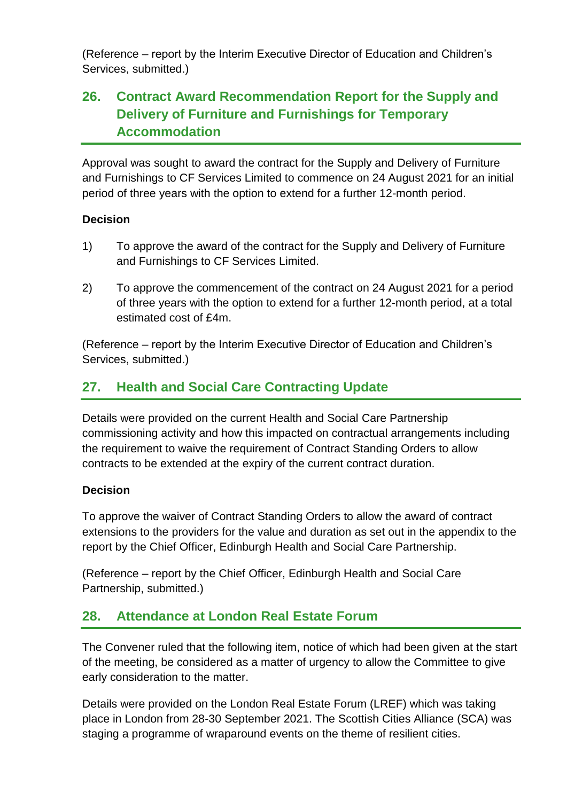(Reference – report by the Interim Executive Director of Education and Children's Services, submitted.)

# **26. Contract Award Recommendation Report for the Supply and Delivery of Furniture and Furnishings for Temporary Accommodation**

Approval was sought to award the contract for the Supply and Delivery of Furniture and Furnishings to CF Services Limited to commence on 24 August 2021 for an initial period of three years with the option to extend for a further 12-month period.

### **Decision**

- 1) To approve the award of the contract for the Supply and Delivery of Furniture and Furnishings to CF Services Limited.
- 2) To approve the commencement of the contract on 24 August 2021 for a period of three years with the option to extend for a further 12-month period, at a total estimated cost of £4m.

(Reference – report by the Interim Executive Director of Education and Children's Services, submitted.)

# **27. Health and Social Care Contracting Update**

Details were provided on the current Health and Social Care Partnership commissioning activity and how this impacted on contractual arrangements including the requirement to waive the requirement of Contract Standing Orders to allow contracts to be extended at the expiry of the current contract duration.

### **Decision**

To approve the waiver of Contract Standing Orders to allow the award of contract extensions to the providers for the value and duration as set out in the appendix to the report by the Chief Officer, Edinburgh Health and Social Care Partnership.

(Reference – report by the Chief Officer, Edinburgh Health and Social Care Partnership, submitted.)

### **28. Attendance at London Real Estate Forum**

The Convener ruled that the following item, notice of which had been given at the start of the meeting, be considered as a matter of urgency to allow the Committee to give early consideration to the matter.

Details were provided on the London Real Estate Forum (LREF) which was taking place in London from 28-30 September 2021. The Scottish Cities Alliance (SCA) was staging a programme of wraparound events on the theme of resilient cities.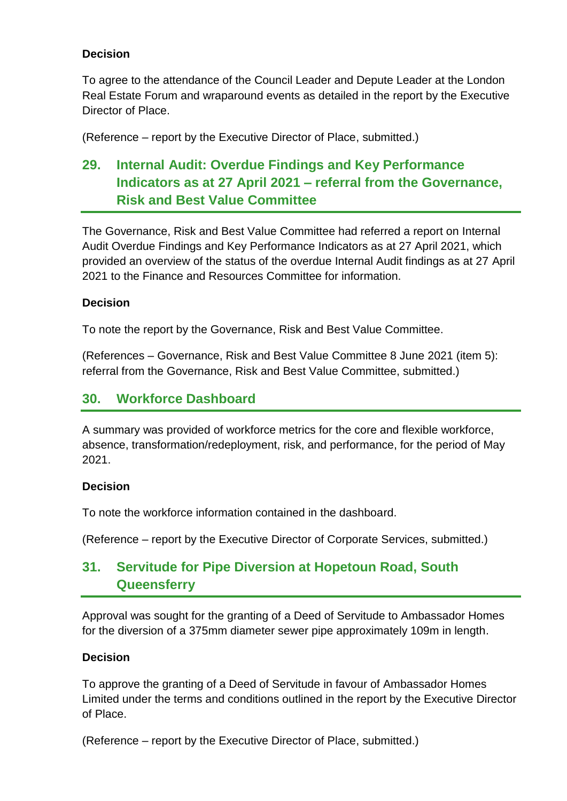To agree to the attendance of the Council Leader and Depute Leader at the London Real Estate Forum and wraparound events as detailed in the report by the Executive Director of Place.

(Reference – report by the Executive Director of Place, submitted.)

# **29. Internal Audit: Overdue Findings and Key Performance Indicators as at 27 April 2021 – referral from the Governance, Risk and Best Value Committee**

The Governance, Risk and Best Value Committee had referred a report on Internal Audit Overdue Findings and Key Performance Indicators as at 27 April 2021, which provided an overview of the status of the overdue Internal Audit findings as at 27 April 2021 to the Finance and Resources Committee for information.

### **Decision**

To note the report by the Governance, Risk and Best Value Committee.

(References – Governance, Risk and Best Value Committee 8 June 2021 (item 5): referral from the Governance, Risk and Best Value Committee, submitted.)

### **30. Workforce Dashboard**

A summary was provided of workforce metrics for the core and flexible workforce, absence, transformation/redeployment, risk, and performance, for the period of May 2021.

### **Decision**

To note the workforce information contained in the dashboard.

(Reference – report by the Executive Director of Corporate Services, submitted.)

# **31. Servitude for Pipe Diversion at Hopetoun Road, South Queensferry**

Approval was sought for the granting of a Deed of Servitude to Ambassador Homes for the diversion of a 375mm diameter sewer pipe approximately 109m in length.

#### **Decision**

To approve the granting of a Deed of Servitude in favour of Ambassador Homes Limited under the terms and conditions outlined in the report by the Executive Director of Place.

(Reference – report by the Executive Director of Place, submitted.)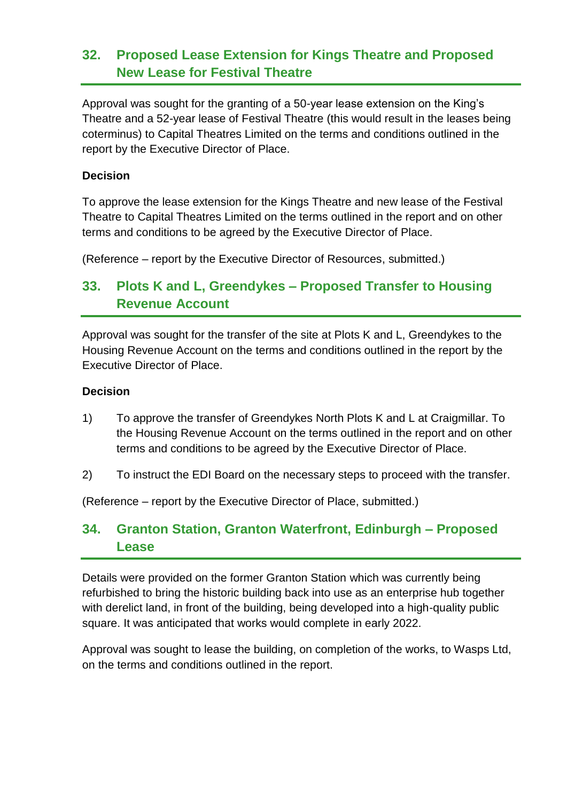### **32. Proposed Lease Extension for Kings Theatre and Proposed New Lease for Festival Theatre**

Approval was sought for the granting of a 50-year lease extension on the King's Theatre and a 52-year lease of Festival Theatre (this would result in the leases being coterminus) to Capital Theatres Limited on the terms and conditions outlined in the report by the Executive Director of Place.

#### **Decision**

To approve the lease extension for the Kings Theatre and new lease of the Festival Theatre to Capital Theatres Limited on the terms outlined in the report and on other terms and conditions to be agreed by the Executive Director of Place.

(Reference – report by the Executive Director of Resources, submitted.)

# **33. Plots K and L, Greendykes – Proposed Transfer to Housing Revenue Account**

Approval was sought for the transfer of the site at Plots K and L, Greendykes to the Housing Revenue Account on the terms and conditions outlined in the report by the Executive Director of Place.

#### **Decision**

- 1) To approve the transfer of Greendykes North Plots K and L at Craigmillar. To the Housing Revenue Account on the terms outlined in the report and on other terms and conditions to be agreed by the Executive Director of Place.
- 2) To instruct the EDI Board on the necessary steps to proceed with the transfer.

(Reference – report by the Executive Director of Place, submitted.)

# **34. Granton Station, Granton Waterfront, Edinburgh – Proposed Lease**

Details were provided on the former Granton Station which was currently being refurbished to bring the historic building back into use as an enterprise hub together with derelict land, in front of the building, being developed into a high-quality public square. It was anticipated that works would complete in early 2022.

Approval was sought to lease the building, on completion of the works, to Wasps Ltd, on the terms and conditions outlined in the report.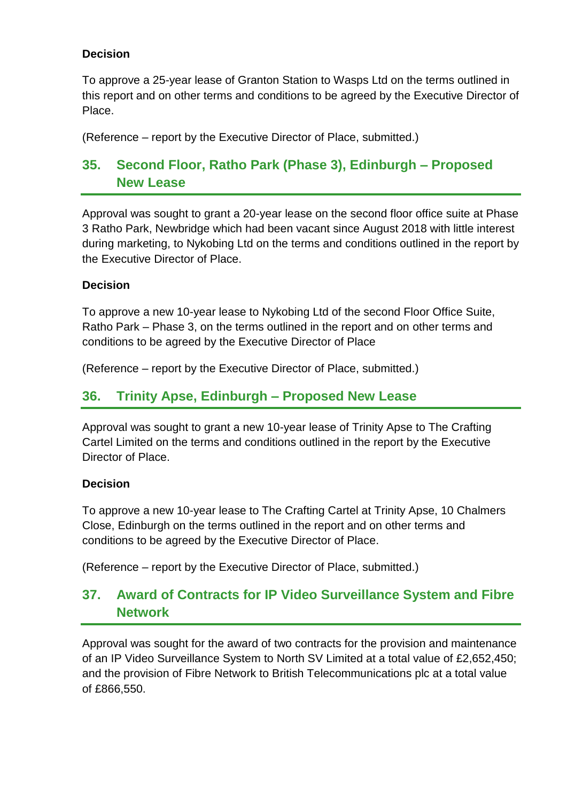To approve a 25-year lease of Granton Station to Wasps Ltd on the terms outlined in this report and on other terms and conditions to be agreed by the Executive Director of Place.

(Reference – report by the Executive Director of Place, submitted.)

# **35. Second Floor, Ratho Park (Phase 3), Edinburgh – Proposed New Lease**

Approval was sought to grant a 20-year lease on the second floor office suite at Phase 3 Ratho Park, Newbridge which had been vacant since August 2018 with little interest during marketing, to Nykobing Ltd on the terms and conditions outlined in the report by the Executive Director of Place.

### **Decision**

To approve a new 10-year lease to Nykobing Ltd of the second Floor Office Suite, Ratho Park – Phase 3, on the terms outlined in the report and on other terms and conditions to be agreed by the Executive Director of Place

(Reference – report by the Executive Director of Place, submitted.)

### **36. Trinity Apse, Edinburgh – Proposed New Lease**

Approval was sought to grant a new 10-year lease of Trinity Apse to The Crafting Cartel Limited on the terms and conditions outlined in the report by the Executive Director of Place.

#### **Decision**

To approve a new 10-year lease to The Crafting Cartel at Trinity Apse, 10 Chalmers Close, Edinburgh on the terms outlined in the report and on other terms and conditions to be agreed by the Executive Director of Place.

(Reference – report by the Executive Director of Place, submitted.)

# **37. Award of Contracts for IP Video Surveillance System and Fibre Network**

Approval was sought for the award of two contracts for the provision and maintenance of an IP Video Surveillance System to North SV Limited at a total value of £2,652,450; and the provision of Fibre Network to British Telecommunications plc at a total value of £866,550.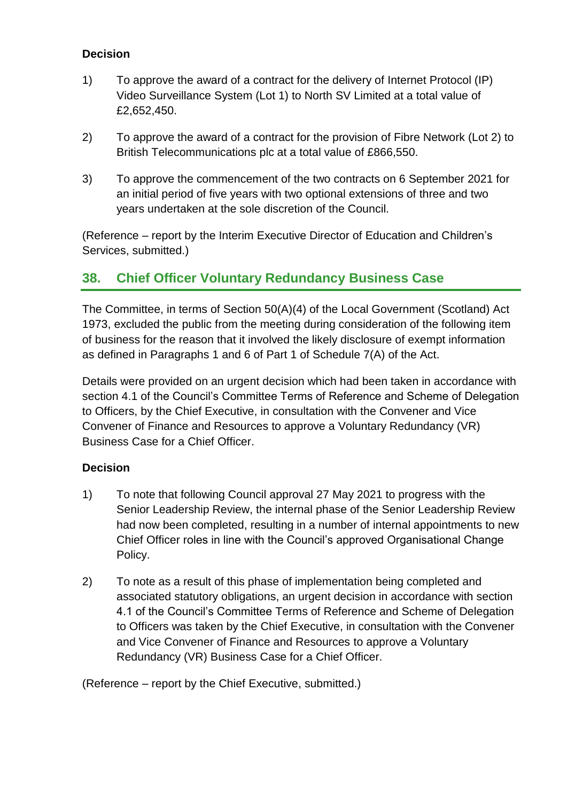- 1) To approve the award of a contract for the delivery of Internet Protocol (IP) Video Surveillance System (Lot 1) to North SV Limited at a total value of £2,652,450.
- 2) To approve the award of a contract for the provision of Fibre Network (Lot 2) to British Telecommunications plc at a total value of £866,550.
- 3) To approve the commencement of the two contracts on 6 September 2021 for an initial period of five years with two optional extensions of three and two years undertaken at the sole discretion of the Council.

(Reference – report by the Interim Executive Director of Education and Children's Services, submitted.)

### **38. Chief Officer Voluntary Redundancy Business Case**

The Committee, in terms of Section 50(A)(4) of the Local Government (Scotland) Act 1973, excluded the public from the meeting during consideration of the following item of business for the reason that it involved the likely disclosure of exempt information as defined in Paragraphs 1 and 6 of Part 1 of Schedule 7(A) of the Act.

Details were provided on an urgent decision which had been taken in accordance with section 4.1 of the Council's Committee Terms of Reference and Scheme of Delegation to Officers, by the Chief Executive, in consultation with the Convener and Vice Convener of Finance and Resources to approve a Voluntary Redundancy (VR) Business Case for a Chief Officer.

### **Decision**

- 1) To note that following Council approval 27 May 2021 to progress with the Senior Leadership Review, the internal phase of the Senior Leadership Review had now been completed, resulting in a number of internal appointments to new Chief Officer roles in line with the Council's approved Organisational Change Policy.
- 2) To note as a result of this phase of implementation being completed and associated statutory obligations, an urgent decision in accordance with section 4.1 of the Council's Committee Terms of Reference and Scheme of Delegation to Officers was taken by the Chief Executive, in consultation with the Convener and Vice Convener of Finance and Resources to approve a Voluntary Redundancy (VR) Business Case for a Chief Officer.

(Reference – report by the Chief Executive, submitted.)